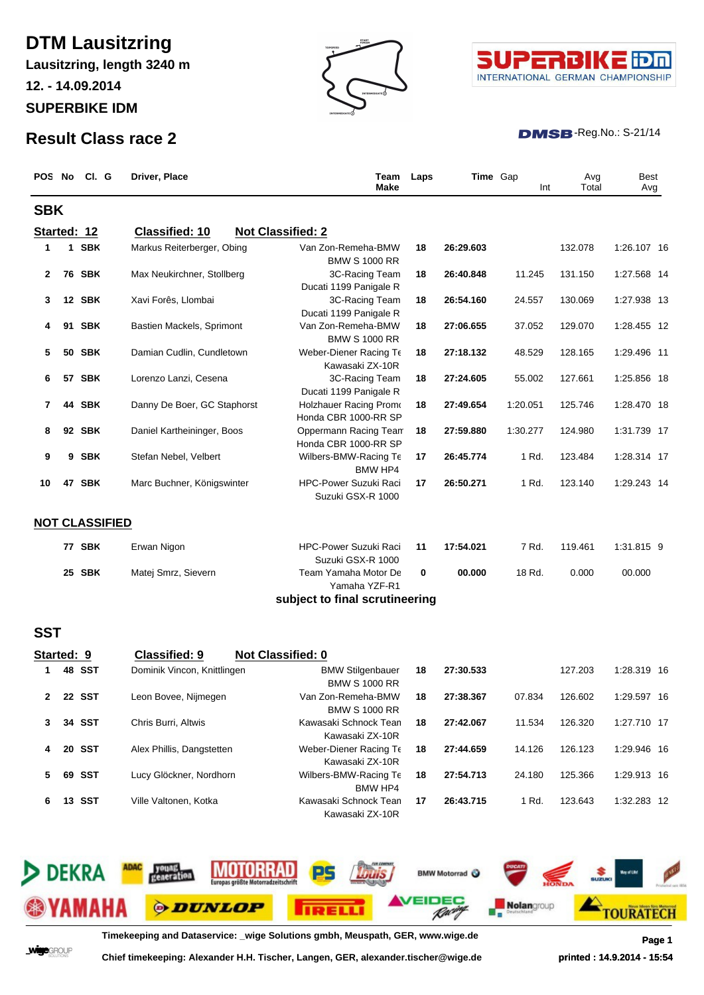# **DTM Lausitzring**

**SUPERBIKE IDM Lausitzring, length 3240 m 12. - 14.09.2014**







### $DMSB$ -Reg.No.: S-21/14

|             | POS No CI. G          | Driver, Place               | Team<br><b>Make</b>                                   | Laps |           | <b>Time</b> Gap<br>Int | Avg<br>Total | Best<br>Avg |
|-------------|-----------------------|-----------------------------|-------------------------------------------------------|------|-----------|------------------------|--------------|-------------|
| <b>SBK</b>  |                       |                             |                                                       |      |           |                        |              |             |
| Started: 12 |                       | <b>Classified: 10</b>       | <b>Not Classified: 2</b>                              |      |           |                        |              |             |
| 1           | 1 SBK                 | Markus Reiterberger, Obing  | Van Zon-Remeha-BMW<br><b>BMW S 1000 RR</b>            | 18   | 26:29.603 |                        | 132.078      | 1:26.107 16 |
| 2           | <b>76 SBK</b>         | Max Neukirchner, Stollberg  | 3C-Racing Team<br>Ducati 1199 Panigale R              | 18   | 26:40.848 | 11.245                 | 131.150      | 1:27.568 14 |
| 3           | 12 SBK                | Xavi Forês, Llombai         | 3C-Racing Team<br>Ducati 1199 Panigale R              | 18   | 26:54.160 | 24.557                 | 130.069      | 1:27.938 13 |
| 4           | 91 SBK                | Bastien Mackels, Sprimont   | Van Zon-Remeha-BMW<br><b>BMW S 1000 RR</b>            | 18   | 27:06.655 | 37.052                 | 129.070      | 1:28.455 12 |
| 5           | <b>50 SBK</b>         | Damian Cudlin, Cundletown   | Weber-Diener Racing Te<br>Kawasaki ZX-10R             | 18   | 27:18.132 | 48.529                 | 128.165      | 1:29.496 11 |
| 6           | 57 SBK                | Lorenzo Lanzi, Cesena       | 3C-Racing Team<br>Ducati 1199 Panigale R              | 18   | 27:24.605 | 55.002                 | 127.661      | 1:25.856 18 |
| 7           | 44 SBK                | Danny De Boer, GC Staphorst | <b>Holzhauer Racing Promo</b><br>Honda CBR 1000-RR SP | 18   | 27:49.654 | 1:20.051               | 125.746      | 1:28.470 18 |
| 8           | 92 SBK                | Daniel Kartheininger, Boos  | Oppermann Racing Team<br>Honda CBR 1000-RR SP         | 18   | 27:59.880 | 1:30.277               | 124.980      | 1:31.739 17 |
| 9           | 9 SBK                 | Stefan Nebel, Velbert       | Wilbers-BMW-Racing Te<br><b>BMW HP4</b>               | 17   | 26:45.774 | 1 Rd.                  | 123.484      | 1:28.314 17 |
| 10          | 47 SBK                | Marc Buchner, Königswinter  | HPC-Power Suzuki Raci<br>Suzuki GSX-R 1000            | 17   | 26:50.271 | 1 Rd.                  | 123.140      | 1:29.243 14 |
|             | <b>NOT CLASSIFIED</b> |                             |                                                       |      |           |                        |              |             |
|             | 77 SBK                | Erwan Nigon                 | <b>HPC-Power Suzuki Raci</b><br>Suzuki GSX-R 1000     | 11   | 17:54.021 | 7 Rd.                  | 119.461      | 1:31.815 9  |
|             | 25 SBK                | Matej Smrz, Sievern         | Team Yamaha Motor De<br>Yamaha YZF-R1                 | 0    | 00.000    | 18 Rd.                 | 0.000        | 00.000      |
|             |                       |                             | subject to final scrutineering                        |      |           |                        |              |             |
| <b>SST</b>  |                       |                             |                                                       |      |           |                        |              |             |
| Started: 9  |                       | <b>Classified: 9</b>        | Not Classified: 0                                     |      |           |                        |              |             |
| 1           | 48 SST                | Dominik Vincon, Knittlingen | <b>BMW Stilgenbauer</b><br><b>BMW S 1000 RR</b>       | 18   | 27:30.533 |                        | 127.203      | 1:28.319 16 |
| າ           | <b>22 SST</b>         | Leon Bovee, Nijmegen        | Van Zon-Remeha-BMW<br><b>BMW S 1000 RR</b>            | 18   | 27:38.367 | 07.834                 | 126.602      | 1:29.597 16 |
| 3           | 34 SST                | Chris Burri, Altwis         | Kawasaki Schnock Tean<br>Kawasaki ZX-10R              | 18   | 27:42.067 | 11.534                 | 126.320      | 1:27.710 17 |
|             | 20 SST                | Alex Phillis, Dangstetten   | Weber-Diener Racing Te<br>Kawasaki ZX-10R             | 18   | 27:44.659 | 14.126                 | 126.123      | 1:29.946 16 |
| 5           | 69 SST                | Lucy Glöckner, Nordhorn     | Wilbers-BMW-Racing Te<br><b>BMW HP4</b>               | 18   | 27:54.713 | 24.180                 | 125.366      | 1:29.913 16 |



**6 13 SST** Ville Valtonen, Kotka Kawasaki Schnock Tean **17 26:43.715** 1 Rd. 123.643 1:32.283 12 Kawasaki ZX-10R

**Timekeeping and Dataservice: \_wige Solutions gmbh, Meuspath, GER, www.wige.de Page 1**

**Wige**GROUP

**Chief timekeeping: Alexander H.H. Tischer, Langen, GER, alexander.tischer@wige.de printed : 14.9.2014 - 15:54**